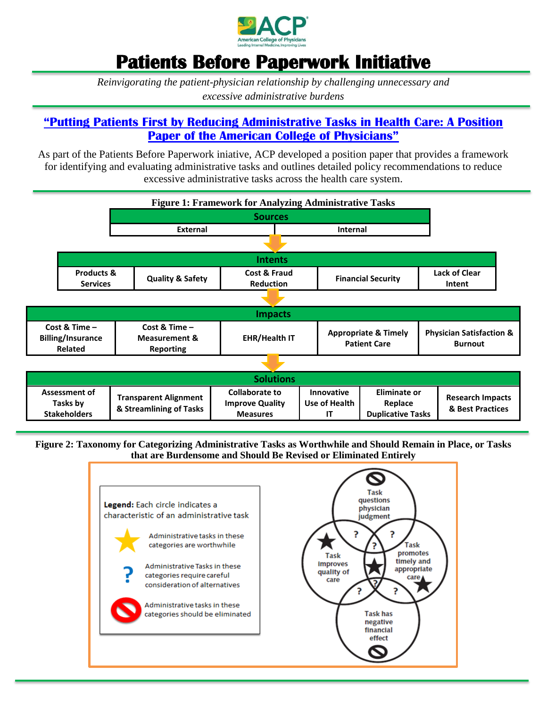

# **Patients Before Paperwork Initiative**

*Reinvigorating the patient-physician relationship by challenging unnecessary and excessive administrative burdens*

### **"Putting Patients [First by Reducing Administrative Tasks in Health Care: A Position](http://annals.org/aim/article/doi/10.7326/M16-2697)  [Paper of the American College of Physicians"](http://annals.org/aim/article/doi/10.7326/M16-2697)**

As part of the Patients Before Paperwork iniative, ACP developed a position paper that provides a framework for identifying and evaluating administrative tasks and outlines detailed policy recommendations to reduce excessive administrative tasks across the health care system.



**Figure 2: Taxonomy for Categorizing Administrative Tasks as Worthwhile and Should Remain in Place, or Tasks that are Burdensome and Should Be Revised or Eliminated Entirely**